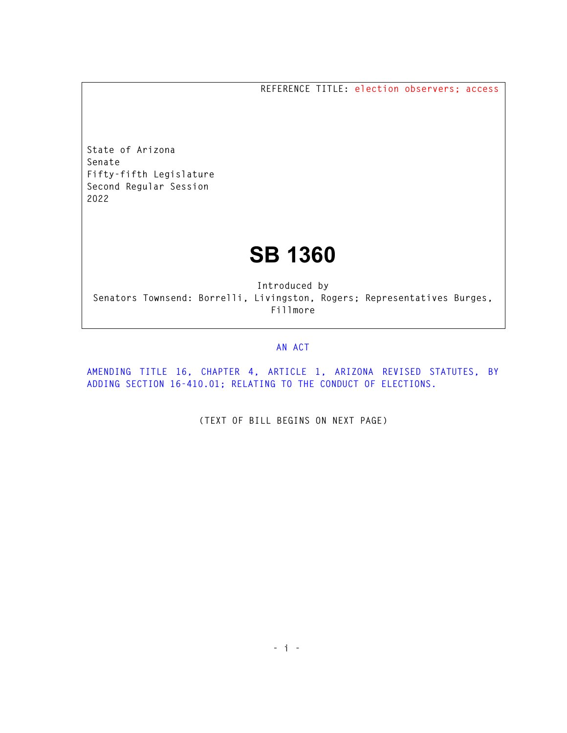**REFERENCE TITLE: election observers; access** 

**State of Arizona Senate Fifty-fifth Legislature Second Regular Session 2022** 

## **SB 1360**

**Introduced by Senators Townsend: Borrelli, Livingston, Rogers; Representatives Burges, Fillmore** 

## **AN ACT**

**AMENDING TITLE 16, CHAPTER 4, ARTICLE 1, ARIZONA REVISED STATUTES, BY ADDING SECTION 16-410.01; RELATING TO THE CONDUCT OF ELECTIONS.** 

**(TEXT OF BILL BEGINS ON NEXT PAGE)**